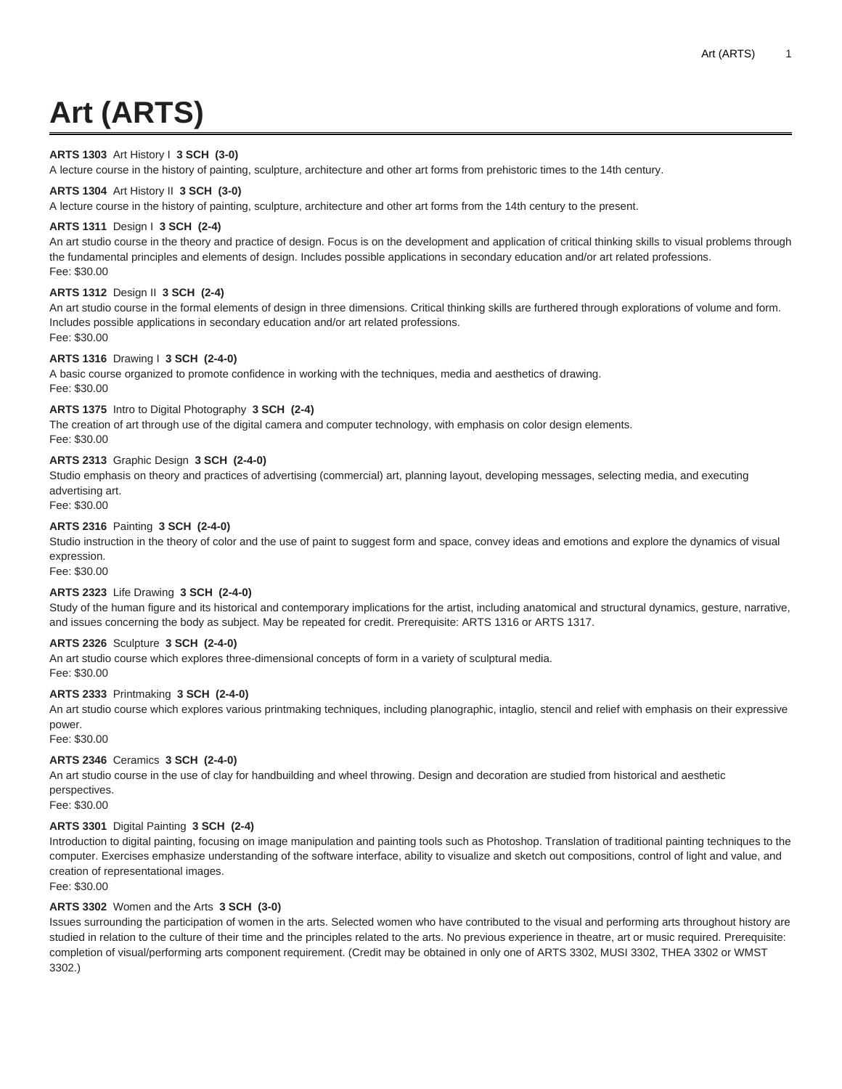# **Art (ARTS)**

# **ARTS 1303** Art History I **3 SCH (3-0)**

A lecture course in the history of painting, sculpture, architecture and other art forms from prehistoric times to the 14th century.

# **ARTS 1304** Art History II **3 SCH (3-0)**

A lecture course in the history of painting, sculpture, architecture and other art forms from the 14th century to the present.

#### **ARTS 1311** Design I **3 SCH (2-4)**

An art studio course in the theory and practice of design. Focus is on the development and application of critical thinking skills to visual problems through the fundamental principles and elements of design. Includes possible applications in secondary education and/or art related professions. Fee: \$30.00

# **ARTS 1312** Design II **3 SCH (2-4)**

An art studio course in the formal elements of design in three dimensions. Critical thinking skills are furthered through explorations of volume and form. Includes possible applications in secondary education and/or art related professions. Fee: \$30.00

# **ARTS 1316** Drawing I **3 SCH (2-4-0)**

A basic course organized to promote confidence in working with the techniques, media and aesthetics of drawing. Fee: \$30.00

#### **ARTS 1375** Intro to Digital Photography **3 SCH (2-4)**

The creation of art through use of the digital camera and computer technology, with emphasis on color design elements. Fee: \$30.00

# **ARTS 2313** Graphic Design **3 SCH (2-4-0)**

Studio emphasis on theory and practices of advertising (commercial) art, planning layout, developing messages, selecting media, and executing advertising art.

Fee: \$30.00

# **ARTS 2316** Painting **3 SCH (2-4-0)**

Studio instruction in the theory of color and the use of paint to suggest form and space, convey ideas and emotions and explore the dynamics of visual expression.

Fee: \$30.00

# **ARTS 2323** Life Drawing **3 SCH (2-4-0)**

Study of the human figure and its historical and contemporary implications for the artist, including anatomical and structural dynamics, gesture, narrative, and issues concerning the body as subject. May be repeated for credit. Prerequisite: ARTS 1316 or ARTS 1317.

# **ARTS 2326** Sculpture **3 SCH (2-4-0)**

An art studio course which explores three-dimensional concepts of form in a variety of sculptural media.

Fee: \$30.00

# **ARTS 2333** Printmaking **3 SCH (2-4-0)**

An art studio course which explores various printmaking techniques, including planographic, intaglio, stencil and relief with emphasis on their expressive power.

Fee: \$30.00

# **ARTS 2346** Ceramics **3 SCH (2-4-0)**

An art studio course in the use of clay for handbuilding and wheel throwing. Design and decoration are studied from historical and aesthetic perspectives.

Fee: \$30.00

# **ARTS 3301** Digital Painting **3 SCH (2-4)**

Introduction to digital painting, focusing on image manipulation and painting tools such as Photoshop. Translation of traditional painting techniques to the computer. Exercises emphasize understanding of the software interface, ability to visualize and sketch out compositions, control of light and value, and creation of representational images.

Fee: \$30.00

# **ARTS 3302** Women and the Arts **3 SCH (3-0)**

Issues surrounding the participation of women in the arts. Selected women who have contributed to the visual and performing arts throughout history are studied in relation to the culture of their time and the principles related to the arts. No previous experience in theatre, art or music required. Prerequisite: completion of visual/performing arts component requirement. (Credit may be obtained in only one of ARTS 3302, MUSI 3302, THEA 3302 or WMST 3302.)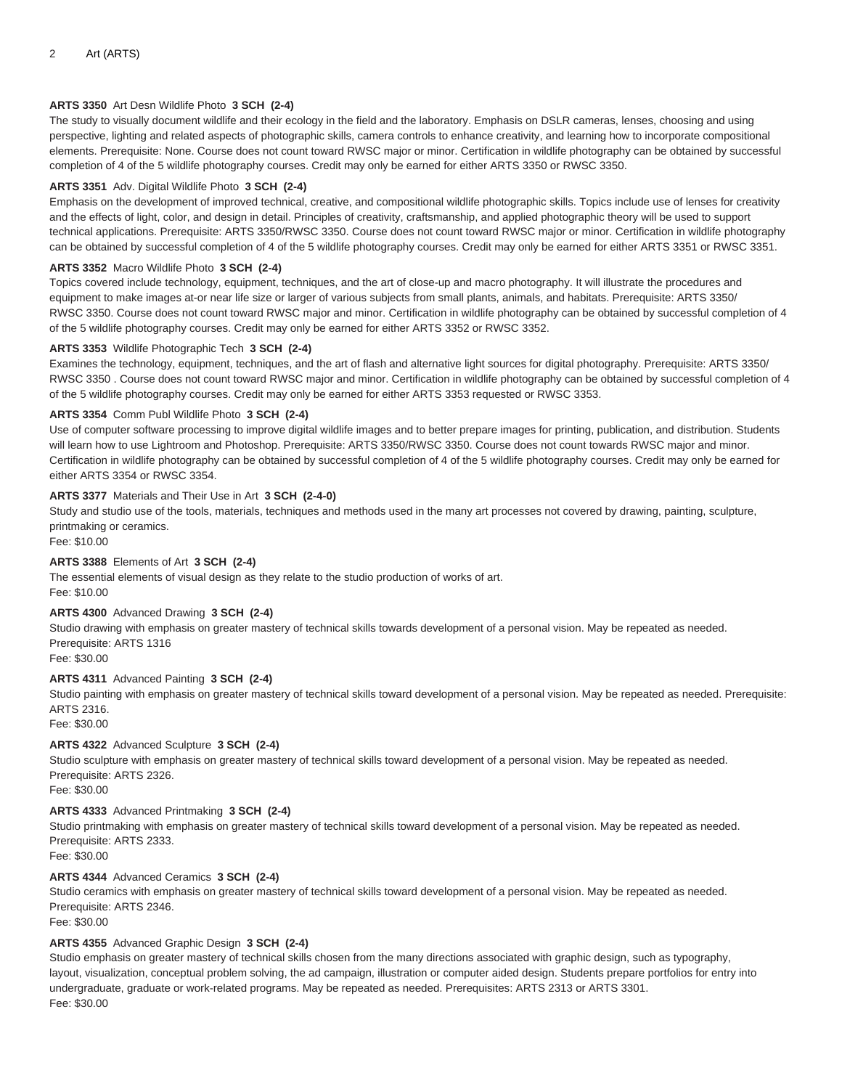# **ARTS 3350** Art Desn Wildlife Photo **3 SCH (2-4)**

The study to visually document wildlife and their ecology in the field and the laboratory. Emphasis on DSLR cameras, lenses, choosing and using perspective, lighting and related aspects of photographic skills, camera controls to enhance creativity, and learning how to incorporate compositional elements. Prerequisite: None. Course does not count toward RWSC major or minor. Certification in wildlife photography can be obtained by successful completion of 4 of the 5 wildlife photography courses. Credit may only be earned for either ARTS 3350 or RWSC 3350.

# **ARTS 3351** Adv. Digital Wildlife Photo **3 SCH (2-4)**

Emphasis on the development of improved technical, creative, and compositional wildlife photographic skills. Topics include use of lenses for creativity and the effects of light, color, and design in detail. Principles of creativity, craftsmanship, and applied photographic theory will be used to support technical applications. Prerequisite: ARTS 3350/RWSC 3350. Course does not count toward RWSC major or minor. Certification in wildlife photography can be obtained by successful completion of 4 of the 5 wildlife photography courses. Credit may only be earned for either ARTS 3351 or RWSC 3351.

# **ARTS 3352** Macro Wildlife Photo **3 SCH (2-4)**

Topics covered include technology, equipment, techniques, and the art of close-up and macro photography. It will illustrate the procedures and equipment to make images at-or near life size or larger of various subjects from small plants, animals, and habitats. Prerequisite: ARTS 3350/ RWSC 3350. Course does not count toward RWSC major and minor. Certification in wildlife photography can be obtained by successful completion of 4 of the 5 wildlife photography courses. Credit may only be earned for either ARTS 3352 or RWSC 3352.

#### **ARTS 3353** Wildlife Photographic Tech **3 SCH (2-4)**

Examines the technology, equipment, techniques, and the art of flash and alternative light sources for digital photography. Prerequisite: ARTS 3350/ RWSC 3350 . Course does not count toward RWSC major and minor. Certification in wildlife photography can be obtained by successful completion of 4 of the 5 wildlife photography courses. Credit may only be earned for either ARTS 3353 requested or RWSC 3353.

# **ARTS 3354** Comm Publ Wildlife Photo **3 SCH (2-4)**

Use of computer software processing to improve digital wildlife images and to better prepare images for printing, publication, and distribution. Students will learn how to use Lightroom and Photoshop. Prerequisite: ARTS 3350/RWSC 3350. Course does not count towards RWSC major and minor. Certification in wildlife photography can be obtained by successful completion of 4 of the 5 wildlife photography courses. Credit may only be earned for either ARTS 3354 or RWSC 3354.

#### **ARTS 3377** Materials and Their Use in Art **3 SCH (2-4-0)**

Study and studio use of the tools, materials, techniques and methods used in the many art processes not covered by drawing, painting, sculpture, printmaking or ceramics.

Fee: \$10.00

# **ARTS 3388** Elements of Art **3 SCH (2-4)**

The essential elements of visual design as they relate to the studio production of works of art. Fee: \$10.00

# **ARTS 4300** Advanced Drawing **3 SCH (2-4)**

Studio drawing with emphasis on greater mastery of technical skills towards development of a personal vision. May be repeated as needed. Prerequisite: ARTS 1316

Fee: \$30.00

# **ARTS 4311** Advanced Painting **3 SCH (2-4)**

Studio painting with emphasis on greater mastery of technical skills toward development of a personal vision. May be repeated as needed. Prerequisite: ARTS 2316.

Fee: \$30.00

# **ARTS 4322** Advanced Sculpture **3 SCH (2-4)**

Studio sculpture with emphasis on greater mastery of technical skills toward development of a personal vision. May be repeated as needed. Prerequisite: ARTS 2326.

Fee: \$30.00

# **ARTS 4333** Advanced Printmaking **3 SCH (2-4)**

Studio printmaking with emphasis on greater mastery of technical skills toward development of a personal vision. May be repeated as needed. Prerequisite: ARTS 2333.

Fee: \$30.00

# **ARTS 4344** Advanced Ceramics **3 SCH (2-4)**

Studio ceramics with emphasis on greater mastery of technical skills toward development of a personal vision. May be repeated as needed. Prerequisite: ARTS 2346.

Fee: \$30.00

# **ARTS 4355** Advanced Graphic Design **3 SCH (2-4)**

Studio emphasis on greater mastery of technical skills chosen from the many directions associated with graphic design, such as typography, layout, visualization, conceptual problem solving, the ad campaign, illustration or computer aided design. Students prepare portfolios for entry into undergraduate, graduate or work-related programs. May be repeated as needed. Prerequisites: ARTS 2313 or ARTS 3301. Fee: \$30.00